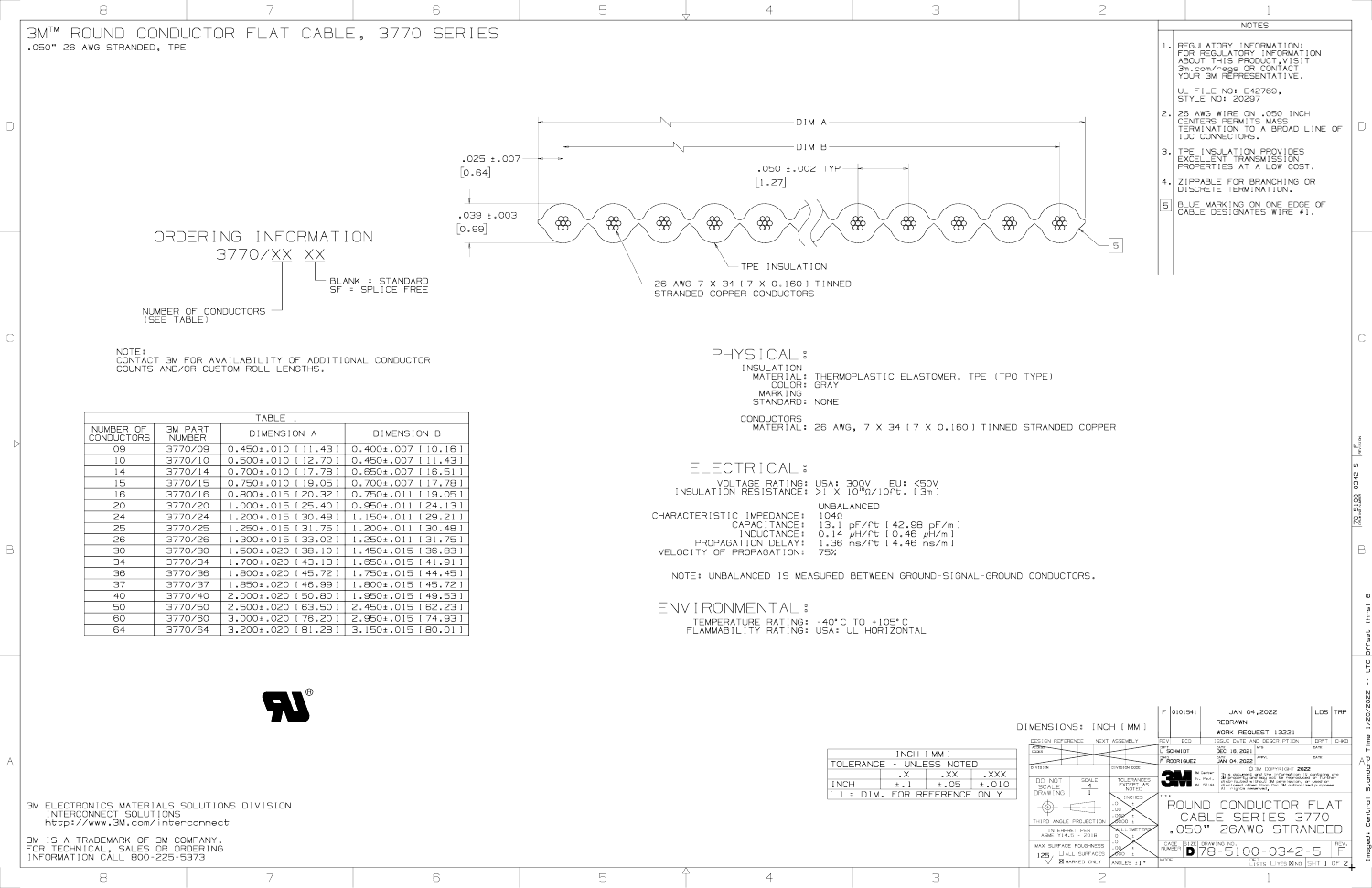3M IS A TRADEMARK OF 3M COMPANY. FOR TECHNICAL, SALES OR ORDERING INFORMATION CALL 800-225-5373

3M ELECTRONICS MATERIALS SOLUTIONS DIVISION INTERCONNECT SOLUTIONS http://www.3M.com/interconnect

| ORDERING INFORMATION<br>3770/XX XX<br>NUMBER OF CONDUCTORS $-$<br>(SEE TABLE)<br>NOTE:<br>CONTACT 3M FOR AVAILABILITY OF ADDITIONAL CONDUCTOR<br>COUNTS AND/OR CUSTOM ROLL LENGTHS.<br>TABLE .<br>NUMBER OF<br>3M PART<br>DIMENSION A<br><b>CONDUCTORS</b><br><b>NUMBER</b><br>09<br>3770/09<br>$0.450\pm.010$ [11.43]                             | [0.64]<br>$\lceil 0.99 \rceil$<br>- BLANK = STANDARD<br>SF = SPLICE FREE                                                                                                                                                                                  | $.025 \pm .007$ —<br>$EOO.1 + 0.03$<br>$\bigotimes$ | $\bigcirc \hspace{-0.5cm} \bigcirc$<br>$\bigoplus$<br>$\bigotimes$ | $-DIMB-$<br>$.050 \pm .002$ TYP $-$<br>$\begin{bmatrix} 1 & 27 \end{bmatrix}$<br>$\bigotimes$<br>$\frac{1}{2}$<br>- TPE INSULATION<br>$\searrow$ 26 awg 7 x 34 [ 7 x 0.160 ] TINNED<br>STRANDED COPPER CONDUCTORS                                                                                                                                    | $\bigotimes$<br>$\bigotimes$<br>$\bigoplus$                   | $\bigcirc\hspace{-0.75mm}\bigcirc$<br>$-5$ | IDC CONNECTORS.<br>  TPE INSULATION PR<br>  <u>Excellent</u> transmi<br>PROPERTIES AT A LI<br>4. ZIPPABLE FOR BRAN<br>DISCRETE TERMINAT<br>  blue marking on o <br>  CABLE DESIGNATES |
|----------------------------------------------------------------------------------------------------------------------------------------------------------------------------------------------------------------------------------------------------------------------------------------------------------------------------------------------------|-----------------------------------------------------------------------------------------------------------------------------------------------------------------------------------------------------------------------------------------------------------|-----------------------------------------------------|--------------------------------------------------------------------|------------------------------------------------------------------------------------------------------------------------------------------------------------------------------------------------------------------------------------------------------------------------------------------------------------------------------------------------------|---------------------------------------------------------------|--------------------------------------------|---------------------------------------------------------------------------------------------------------------------------------------------------------------------------------------|
|                                                                                                                                                                                                                                                                                                                                                    |                                                                                                                                                                                                                                                           |                                                     |                                                                    |                                                                                                                                                                                                                                                                                                                                                      |                                                               |                                            |                                                                                                                                                                                       |
|                                                                                                                                                                                                                                                                                                                                                    |                                                                                                                                                                                                                                                           |                                                     |                                                                    |                                                                                                                                                                                                                                                                                                                                                      |                                                               |                                            |                                                                                                                                                                                       |
|                                                                                                                                                                                                                                                                                                                                                    |                                                                                                                                                                                                                                                           |                                                     |                                                                    |                                                                                                                                                                                                                                                                                                                                                      |                                                               |                                            |                                                                                                                                                                                       |
|                                                                                                                                                                                                                                                                                                                                                    |                                                                                                                                                                                                                                                           |                                                     |                                                                    |                                                                                                                                                                                                                                                                                                                                                      |                                                               |                                            |                                                                                                                                                                                       |
|                                                                                                                                                                                                                                                                                                                                                    |                                                                                                                                                                                                                                                           |                                                     |                                                                    | PHYSICAL:<br>INSULATION<br>COLOR: GRAY<br>MARK I NG<br>STANDARD: NONE                                                                                                                                                                                                                                                                                | MATERIAL: THERMOPLASTIC ELASTOMER, TPE (TPO TYPE)             |                                            |                                                                                                                                                                                       |
|                                                                                                                                                                                                                                                                                                                                                    | DIMENSION B                                                                                                                                                                                                                                               |                                                     |                                                                    | <b>CONDUCTORS</b>                                                                                                                                                                                                                                                                                                                                    | MATERIAL: 26 AWG, 7 X 34 [ 7 X 0.160 ] TINNED STRANDED COPPER |                                            |                                                                                                                                                                                       |
| 0.500±.010 [12.70]<br>$1^{\circ}$<br>3770/10<br>3770/14<br>0.700±.010 [17.78]<br>14<br>15<br>3770/15<br>0.750±.010 [19.05]<br>16<br>0.800±.015 [20.32 ]<br>3770/16<br>20<br>3770/20<br>24<br>1.200±.015 [30.48 ]<br>3770/24<br>25<br>l.250±.015 [31.75 ]<br>3770/25<br>26<br>1.300±.015 [33.02 ]<br>3770/26<br>30<br>1.500±.020 [38.10]<br>3770/30 | 0.400±.007 [10.16]<br>0.450±.007 [11.43]<br>0.650±.007 [ 16.51<br>0.700±.007 [17.78]<br>0.750±.011 [19.05]<br>$1.000\pm.015$ [ 25.40 ]   0.950 $\pm.011$ [ 24.13 ]<br>I.150±.011 [29.21]<br>.200±.011 [30.48]<br>.250±.011 [31.75 ]<br>.450±.015 [36.83 ] |                                                     |                                                                    | ELECTRICAL:<br>VOLTAGE RATING: USA: 300V EU: <50V<br>INSULATION RESISTANCE: $>1$ X $10^{10}$ $\Omega/10$ <sup>r</sup> t. [3m]<br>UNBALANCED<br>CHARACTERISTIC IMPEDANCE: 104Ω<br>CAPACITANCE: 13.1 pF/ft [42.98 pF/m ]<br>INDUCTANCE: 0.14 $\mu$ H/ft [0.46 $\mu$ H/m ]<br>PROPAGATION DELAY: 1.36 ns/ft [4.46 ns/m]<br>VELOCITY OF PROPAGATION: 75% |                                                               |                                            |                                                                                                                                                                                       |
| 34<br>3770/34<br>1.700±.020 [43.18]<br>36<br>I.800±.020 [45.72 ]<br>3770/36<br>37<br>1.850±.020 [46.99 ]<br>3770/37<br>40<br>2.000±.020 [50.80 ]<br>3770/40<br>50<br>2.500±.020 [63.50 ]<br>3770/50<br>60<br>3.000±.020 [ 76.20 ]<br>3770/60<br>$3.200 \pm .020$ [81.28]<br>64<br>3770/64                                                          | .650±.015 [41.91]<br>$.750 \pm .015$ [44.45]<br>.800±.015 [ 45.72 ]<br>.950±.015 [49.53 ]<br>2.450±.015 [62.23]<br>2.950±.015 [74.93]<br>3.150±.015 [80.01 ]                                                                                              |                                                     | ENVIRONMENTAL :                                                    | NOTE: UNBALANCED IS MEASURED BETWEEN GROUND-SIGNAL-GROUND CONDUCTORS.<br>TEMPERATURE RATING: -40°C TO +105°C<br>FLAMMABILITY RATING: USA: UL HORIZONTAL                                                                                                                                                                                              |                                                               |                                            |                                                                                                                                                                                       |
|                                                                                                                                                                                                                                                                                                                                                    |                                                                                                                                                                                                                                                           |                                                     |                                                                    |                                                                                                                                                                                                                                                                                                                                                      |                                                               |                                            |                                                                                                                                                                                       |

ശ Imaged: Central Standard Time 1/20/2022 -- UTC Offset (hrs) 6A



|             | INCH [ MM ]              |                                |            |  |  |  |
|-------------|--------------------------|--------------------------------|------------|--|--|--|
|             | TOLERANCE - UNLESS NOTED |                                |            |  |  |  |
|             |                          | $\mathsf{L} \times \mathsf{X}$ | $\Box$ XXX |  |  |  |
| <b>INCH</b> | $\pm$ . $\perp$          | ±.O5                           | $\pm$ .010 |  |  |  |
| $l = DIM$ . |                          | FOR RFFFRFNCF ONLY             |            |  |  |  |
|             |                          |                                |            |  |  |  |

|       | <b>NOTES</b>                                                                                                                            |
|-------|-----------------------------------------------------------------------------------------------------------------------------------------|
| $1$ . | REGULATORY INFORMATION:<br>FOR REGULATORY INFORMATION<br>ABOUT THIS PRODUCT, VISIT<br>3m.com/regs OR CONTACT<br>YOUR 3M REPRESENTATIVE. |
|       | UL FILE NO: E42769,<br><b>STYLE NO: 20297</b>                                                                                           |
| 2.1   | 26 AWG WIRE ON .050 INCH<br>CENTERS PERMITS MASS<br>TERMINATION TO A BROAD LINE OF<br>IDC CONNECTORS.                                   |
| З.I   | TPE INSULATION PROVIDES<br>EXCELLENT TRANSMISSION<br>PROPERTIES AT A LOW COST.                                                          |
| 4.    | ZIPPABLE FOR BRANCHING OR<br>DISCRETE TERMINATION.                                                                                      |
| 5     | BLUE MARKING ON ONE EDGE OF<br>CABLE DESIGNATES WIRE #1.                                                                                |
|       |                                                                                                                                         |

B

DRAWING NUMBER<br>DRAWING NUMBER

|                                           |   |        |                                                                                                                                   |                                                                                                                                                                                                                                                                                                                                                               | $F$ 0101541<br>$ $ LDS $ $ TRP<br>JAN 04,2022<br>REDRAWN                                                                                                                                                                                                    |
|-------------------------------------------|---|--------|-----------------------------------------------------------------------------------------------------------------------------------|---------------------------------------------------------------------------------------------------------------------------------------------------------------------------------------------------------------------------------------------------------------------------------------------------------------------------------------------------------------|-------------------------------------------------------------------------------------------------------------------------------------------------------------------------------------------------------------------------------------------------------------|
|                                           |   |        |                                                                                                                                   | DIMENSIONS: INCH [ MM ]                                                                                                                                                                                                                                                                                                                                       | WORK REQUEST 13221                                                                                                                                                                                                                                          |
|                                           |   |        | INCH [ MM ]                                                                                                                       | DESIGN REFERENCE NEXT ASSEMBLY<br>ACCESS-<br>CODES                                                                                                                                                                                                                                                                                                            | $ REV $ $ECO$<br>DRFT   CHKD<br>ISSUE DATE AND DESCRIPTION<br>DATE<br>DATE $16,2021$ MFG<br>L SCHMIDT<br>DATE                                                                                                                                               |
|                                           |   |        | TOLERANCE - UNLESS NOTED<br>$\mathsf{L}\times\mathsf{X}\times\mathsf{X}$<br>$\mathsf{L} \times \mathsf{X}$<br>$\mathsf{R} \times$ | DIVISION CODE<br><b>DIVISION</b>                                                                                                                                                                                                                                                                                                                              | DATE 04,2022<br>$\mathbb{R}$ F RODRIGUEZ<br><b>QMA</b>                                                                                                                                                                                                      |
|                                           |   |        | INCH<br>$\pm$ .05<br>$\pm$ . 010<br>l ہ ±<br> [ ] = dim. for reference only                                                       | DO NOT<br>SCALE<br>SCALE<br>TOLERANC<br>EXCEPT /<br>NOTED<br><b>DRAWING</b>                                                                                                                                                                                                                                                                                   | This document and the information it contains are<br>3M property and may not be reproduced or further<br>distributed without 3M permission, or used or<br>disclosed other than for 3M authorized purposes.<br>All rights reserved.<br>$\bullet$<br>MN 55144 |
| CS MATERIALS SOLUTIONS DIVISION           |   |        |                                                                                                                                   | <b>INCHES</b><br>$\begin{picture}(120,15) \put(0,0){\line(1,0){155}} \put(15,0){\line(1,0){155}} \put(15,0){\line(1,0){155}} \put(15,0){\line(1,0){155}} \put(15,0){\line(1,0){155}} \put(15,0){\line(1,0){155}} \put(15,0){\line(1,0){155}} \put(15,0){\line(1,0){155}} \put(15,0){\line(1,0){155}} \put(15,0){\line(1,0){155}} \put(15,0){\line(1,0){155}}$ | ROUND CONDUCTOR                                                                                                                                                                                                                                             |
| ECT SOLUTIONS<br>w.3M.com/interconnect    |   |        |                                                                                                                                   | THIRD ANGLE PROJECTION                                                                                                                                                                                                                                                                                                                                        | CABLE SERIES 3770                                                                                                                                                                                                                                           |
| EMARK OF 3M COMPANY.                      |   |        |                                                                                                                                   | WULLIMETER<br>INTERPRET PER<br>ASME Y14.5 – 2018                                                                                                                                                                                                                                                                                                              | .050" 26AWG STRANDED                                                                                                                                                                                                                                        |
| L, SALES OR ORDERING<br>CÁLL 800-225-5373 |   |        |                                                                                                                                   | MAX SURFACE ROUGHNESS<br>$125$ , $\Box$ ALL SURFACES $\sim$                                                                                                                                                                                                                                                                                                   | NUMBER $\frac{B}{2}$ $\frac{B}{2}$ $\frac{B}{2}$ $\frac{B}{2}$ $\frac{B}{2}$ $\frac{CAGE}{2}$ $\frac{B}{2}$ $\frac{B}{2}$ $\frac{CAGE}{2}$ $\frac{B}{2}$ $\frac{B}{2}$ $\frac{CAGE}{2}$ $\frac{B}{2}$ $\frac{B}{2}$ $\frac{CATE}{2}$                        |
|                                           |   |        |                                                                                                                                   | $\bigvee$ <b><math>\boxtimes</math></b> marked only<br>ANGLES ±1°                                                                                                                                                                                                                                                                                             | $\begin{bmatrix}$ DET. $\Box$ YES $\boxtimes$ NO SHT 1 OF 2                                                                                                                                                                                                 |
|                                           | 6 | $\Box$ | $\frown$                                                                                                                          |                                                                                                                                                                                                                                                                                                                                                               |                                                                                                                                                                                                                                                             |

78-5100-0342-5

 $\frac{1}{2} \frac{1}{\sum_{i=1}^{n} \sum_{i=1}^{n} \frac{1}{i}}$ 

 $-2+20$ 

ட்

 $\mathbb{C}$